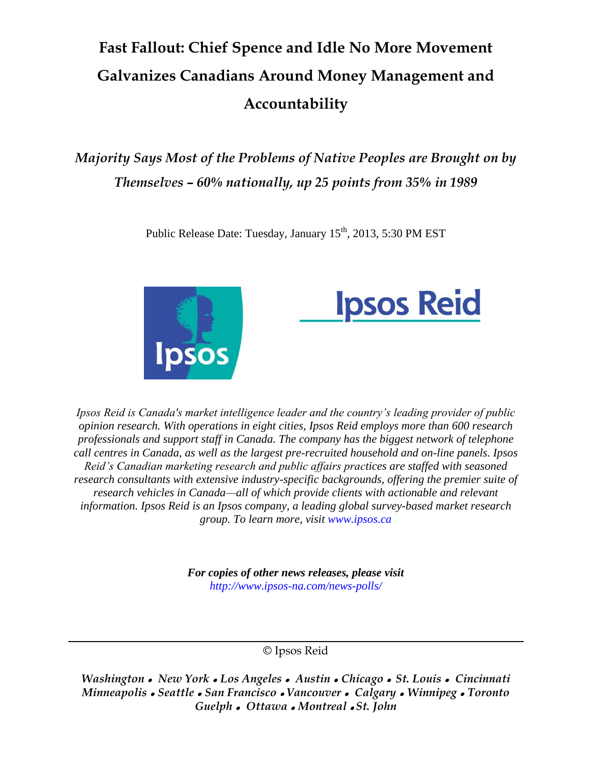# **Fast Fallout: Chief Spence and Idle No More Movement Galvanizes Canadians Around Money Management and Accountability**

*Majority Says Most of the Problems of Native Peoples are Brought on by Themselves – 60% nationally, up 25 points from 35% in 1989*

Public Release Date: Tuesday, January 15<sup>th</sup>, 2013, 5:30 PM EST





*Ipsos Reid is Canada's market intelligence leader and the country's leading provider of public opinion research. With operations in eight cities, Ipsos Reid employs more than 600 research professionals and support staff in Canada. The company has the biggest network of telephone call centres in Canada, as well as the largest pre-recruited household and on-line panels. Ipsos Reid's Canadian marketing research and public affairs practices are staffed with seasoned research consultants with extensive industry-specific backgrounds, offering the premier suite of research vehicles in Canada—all of which provide clients with actionable and relevant information. Ipsos Reid is an Ipsos company, a leading global survey-based market research group. To learn more, visit www.ipsos.ca*

> *For copies of other news releases, please visit http://www.ipsos-na.com/news-polls/*

> > © Ipsos Reid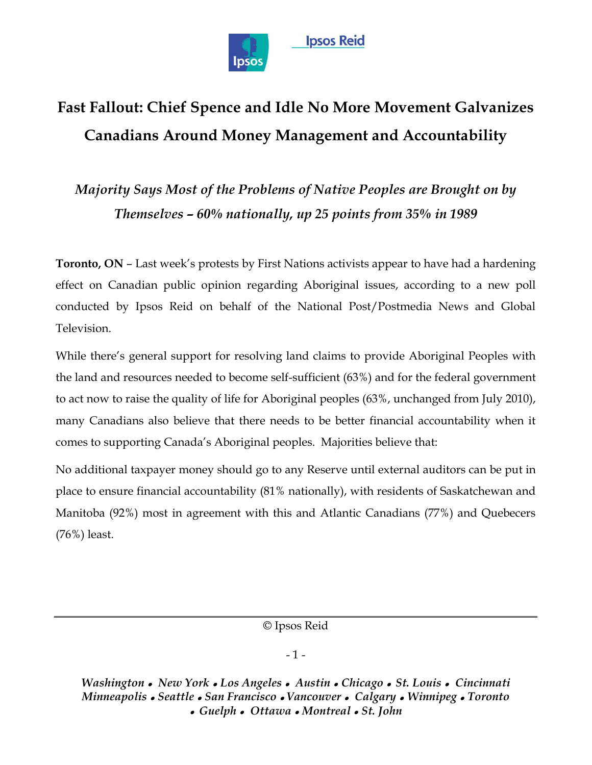

# **Fast Fallout: Chief Spence and Idle No More Movement Galvanizes Canadians Around Money Management and Accountability**

*Majority Says Most of the Problems of Native Peoples are Brought on by Themselves – 60% nationally, up 25 points from 35% in 1989*

**Toronto, ON** – Last week's protests by First Nations activists appear to have had a hardening effect on Canadian public opinion regarding Aboriginal issues, according to a new poll conducted by Ipsos Reid on behalf of the National Post/Postmedia News and Global Television.

While there's general support for resolving land claims to provide Aboriginal Peoples with the land and resources needed to become self-sufficient (63%) and for the federal government to act now to raise the quality of life for Aboriginal peoples (63%, unchanged from July 2010), many Canadians also believe that there needs to be better financial accountability when it comes to supporting Canada's Aboriginal peoples. Majorities believe that:

No additional taxpayer money should go to any Reserve until external auditors can be put in place to ensure financial accountability (81% nationally), with residents of Saskatchewan and Manitoba (92%) most in agreement with this and Atlantic Canadians (77%) and Quebecers (76%) least.

© Ipsos Reid

### - 1 -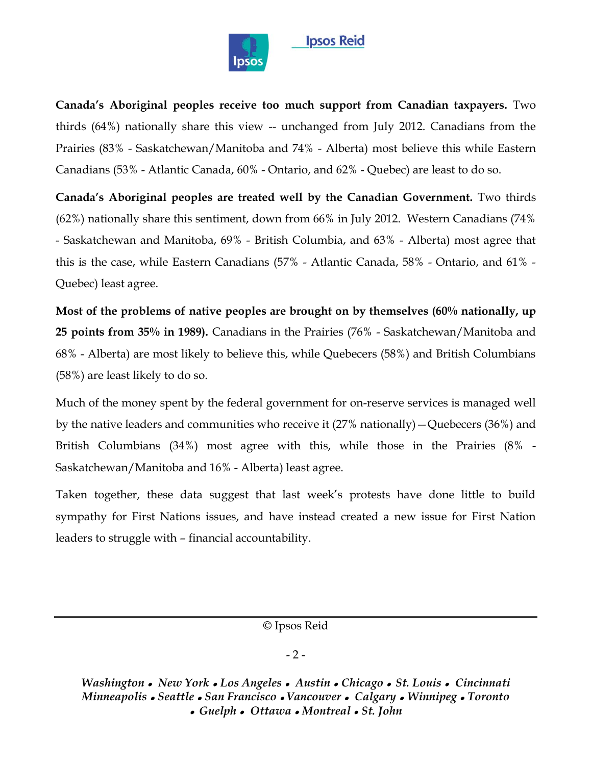

### **Ipsos Reid**

**Canada's Aboriginal peoples receive too much support from Canadian taxpayers.** Two thirds (64%) nationally share this view -- unchanged from July 2012. Canadians from the Prairies (83% - Saskatchewan/Manitoba and 74% - Alberta) most believe this while Eastern Canadians (53% - Atlantic Canada, 60% - Ontario, and 62% - Quebec) are least to do so.

**Canada's Aboriginal peoples are treated well by the Canadian Government.** Two thirds (62%) nationally share this sentiment, down from 66% in July 2012. Western Canadians (74% - Saskatchewan and Manitoba, 69% - British Columbia, and 63% - Alberta) most agree that this is the case, while Eastern Canadians (57% - Atlantic Canada, 58% - Ontario, and 61% - Quebec) least agree.

**Most of the problems of native peoples are brought on by themselves (60% nationally, up 25 points from 35% in 1989).** Canadians in the Prairies (76% - Saskatchewan/Manitoba and 68% - Alberta) are most likely to believe this, while Quebecers (58%) and British Columbians (58%) are least likely to do so.

Much of the money spent by the federal government for on-reserve services is managed well by the native leaders and communities who receive it (27% nationally)—Quebecers (36%) and British Columbians (34%) most agree with this, while those in the Prairies (8% - Saskatchewan/Manitoba and 16% - Alberta) least agree.

Taken together, these data suggest that last week's protests have done little to build sympathy for First Nations issues, and have instead created a new issue for First Nation leaders to struggle with – financial accountability.

© Ipsos Reid

### $-2-$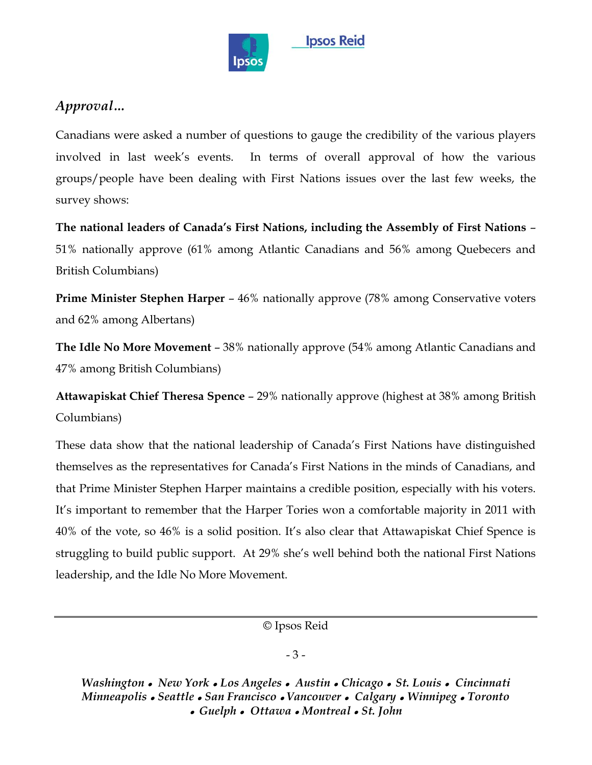

## *Approval…*

Canadians were asked a number of questions to gauge the credibility of the various players involved in last week's events. In terms of overall approval of how the various groups/people have been dealing with First Nations issues over the last few weeks, the survey shows:

**The national leaders of Canada's First Nations, including the Assembly of First Nations** – 51% nationally approve (61% among Atlantic Canadians and 56% among Quebecers and British Columbians)

**Prime Minister Stephen Harper – 46% nationally approve (78% among Conservative voters** and 62% among Albertans)

**The Idle No More Movement** – 38% nationally approve (54% among Atlantic Canadians and 47% among British Columbians)

**Attawapiskat Chief Theresa Spence** – 29% nationally approve (highest at 38% among British Columbians)

These data show that the national leadership of Canada's First Nations have distinguished themselves as the representatives for Canada's First Nations in the minds of Canadians, and that Prime Minister Stephen Harper maintains a credible position, especially with his voters. It's important to remember that the Harper Tories won a comfortable majority in 2011 with 40% of the vote, so 46% is a solid position. It's also clear that Attawapiskat Chief Spence is struggling to build public support. At 29% she's well behind both the national First Nations leadership, and the Idle No More Movement.

© Ipsos Reid

### - 3 -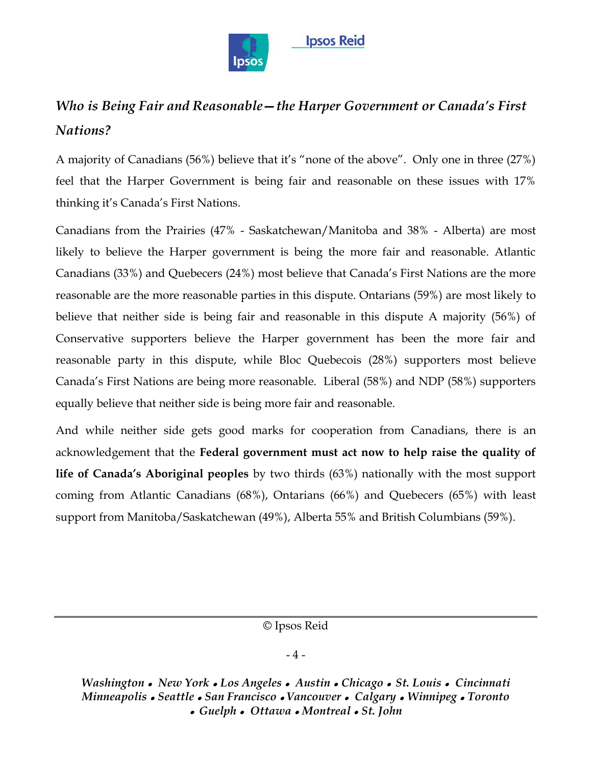

# *Who is Being Fair and Reasonable—the Harper Government or Canada's First Nations?*

A majority of Canadians (56%) believe that it's "none of the above". Only one in three (27%) feel that the Harper Government is being fair and reasonable on these issues with 17% thinking it's Canada's First Nations.

Canadians from the Prairies (47% - Saskatchewan/Manitoba and 38% - Alberta) are most likely to believe the Harper government is being the more fair and reasonable. Atlantic Canadians (33%) and Quebecers (24%) most believe that Canada's First Nations are the more reasonable are the more reasonable parties in this dispute. Ontarians (59%) are most likely to believe that neither side is being fair and reasonable in this dispute A majority (56%) of Conservative supporters believe the Harper government has been the more fair and reasonable party in this dispute, while Bloc Quebecois (28%) supporters most believe Canada's First Nations are being more reasonable. Liberal (58%) and NDP (58%) supporters equally believe that neither side is being more fair and reasonable.

And while neither side gets good marks for cooperation from Canadians, there is an acknowledgement that the **Federal government must act now to help raise the quality of life of Canada's Aboriginal peoples** by two thirds (63%) nationally with the most support coming from Atlantic Canadians (68%), Ontarians (66%) and Quebecers (65%) with least support from Manitoba/Saskatchewan (49%), Alberta 55% and British Columbians (59%).

© Ipsos Reid

### - 4 -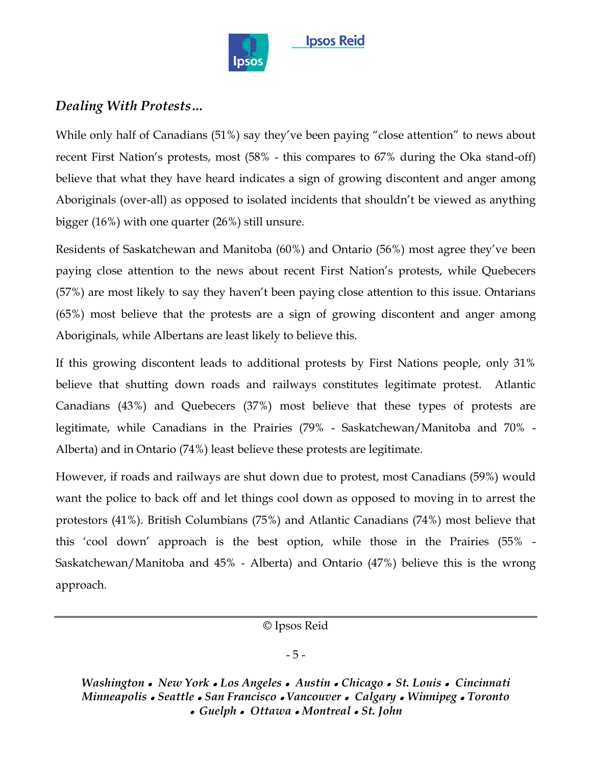

## *Dealing With Protests…*

While only half of Canadians  $(51%)$  say they've been paying "close attention" to news about recent First Nation's protests, most (58% - this compares to 67% during the Oka stand-off) believe that what they have heard indicates a sign of growing discontent and anger among Aboriginals (over-all) as opposed to isolated incidents that shouldn't be viewed as anything bigger (16%) with one quarter (26%) still unsure.

Residents of Saskatchewan and Manitoba (60%) and Ontario (56%) most agree they've been paying close attention to the news about recent First Nation's protests, while Quebecers (57%) are most likely to say they haven't been paying close attention to this issue. Ontarians (65%) most believe that the protests are a sign of growing discontent and anger among Aboriginals, while Albertans are least likely to believe this.

If this growing discontent leads to additional protests by First Nations people, only 31% believe that shutting down roads and railways constitutes legitimate protest. Atlantic Canadians (43%) and Quebecers (37%) most believe that these types of protests are legitimate, while Canadians in the Prairies (79% - Saskatchewan/Manitoba and 70% - Alberta) and in Ontario (74%) least believe these protests are legitimate.

However, if roads and railways are shut down due to protest, most Canadians (59%) would want the police to back off and let things cool down as opposed to moving in to arrest the protestors (41%). British Columbians (75%) and Atlantic Canadians (74%) most believe that this ‗cool down' approach is the best option, while those in the Prairies (55% - Saskatchewan/Manitoba and 45% - Alberta) and Ontario (47%) believe this is the wrong approach.

© Ipsos Reid

### - 5 -